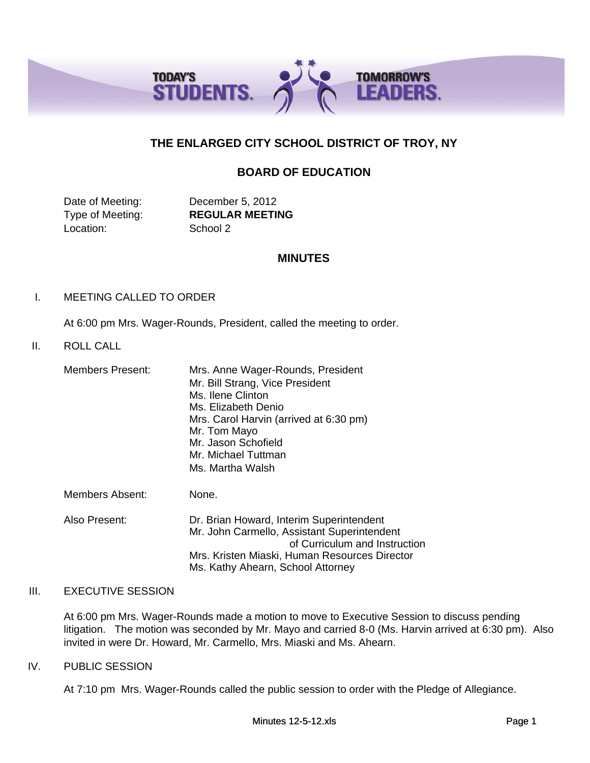

# **THE ENLARGED CITY SCHOOL DISTRICT OF TROY, NY**

# **BOARD OF EDUCATION**

Date of Meeting: December 5, 2012 Location: School 2

Type of Meeting: **REGULAR MEETING**

## **MINUTES**

## I. MEETING CALLED TO ORDER

At 6:00 pm Mrs. Wager-Rounds, President, called the meeting to order.

## II. ROLL CALL

| <b>Members Present:</b> | Mrs. Anne Wager-Rounds, President<br>Mr. Bill Strang, Vice President<br>Ms. Ilene Clinton<br>Ms. Elizabeth Denio<br>Mrs. Carol Harvin (arrived at 6:30 pm)<br>Mr. Tom Mayo<br>Mr. Jason Schofield<br>Mr. Michael Tuttman<br>Ms. Martha Walsh |
|-------------------------|----------------------------------------------------------------------------------------------------------------------------------------------------------------------------------------------------------------------------------------------|
| Members Absent:         | None.                                                                                                                                                                                                                                        |
| Also Present:           | Dr. Brian Howard, Interim Superintendent<br>Mr. John Carmello, Assistant Superintendent<br>of Curriculum and Instruction<br>Mrs. Kristen Miaski, Human Resources Director                                                                    |

# Ms. Kathy Ahearn, School Attorney

## III. EXECUTIVE SESSION

At 6:00 pm Mrs. Wager-Rounds made a motion to move to Executive Session to discuss pending litigation. The motion was seconded by Mr. Mayo and carried 8-0 (Ms. Harvin arrived at 6:30 pm). Also invited in were Dr. Howard, Mr. Carmello, Mrs. Miaski and Ms. Ahearn.

### IV. PUBLIC SESSION

At 7:10 pm Mrs. Wager-Rounds called the public session to order with the Pledge of Allegiance.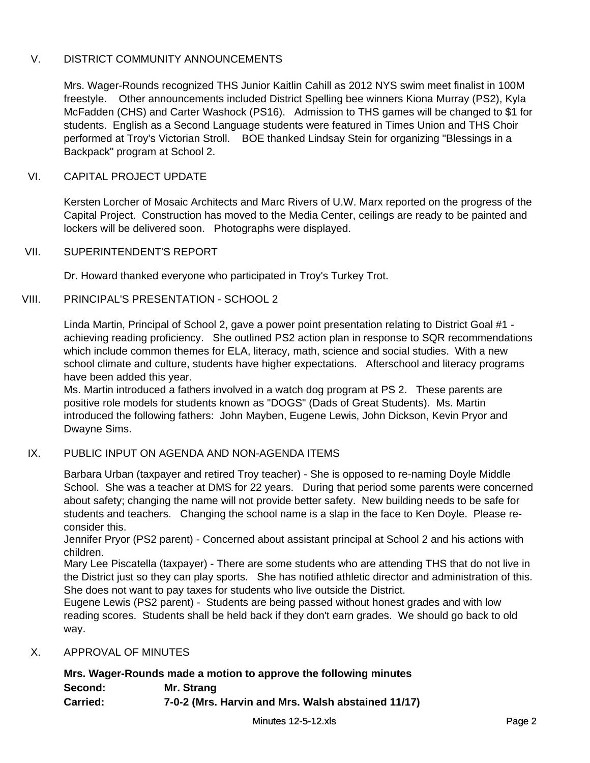# V. DISTRICT COMMUNITY ANNOUNCEMENTS

Mrs. Wager-Rounds recognized THS Junior Kaitlin Cahill as 2012 NYS swim meet finalist in 100M freestyle. Other announcements included District Spelling bee winners Kiona Murray (PS2), Kyla McFadden (CHS) and Carter Washock (PS16). Admission to THS games will be changed to \$1 for students. English as a Second Language students were featured in Times Union and THS Choir performed at Troy's Victorian Stroll. BOE thanked Lindsay Stein for organizing "Blessings in a Backpack" program at School 2.

# VI. CAPITAL PROJECT UPDATE

Kersten Lorcher of Mosaic Architects and Marc Rivers of U.W. Marx reported on the progress of the Capital Project. Construction has moved to the Media Center, ceilings are ready to be painted and lockers will be delivered soon. Photographs were displayed.

## VII. SUPERINTENDENT'S REPORT

Dr. Howard thanked everyone who participated in Troy's Turkey Trot.

# VIII. PRINCIPAL'S PRESENTATION - SCHOOL 2

Linda Martin, Principal of School 2, gave a power point presentation relating to District Goal #1 achieving reading proficiency. She outlined PS2 action plan in response to SQR recommendations which include common themes for ELA, literacy, math, science and social studies. With a new school climate and culture, students have higher expectations. Afterschool and literacy programs have been added this year.

Ms. Martin introduced a fathers involved in a watch dog program at PS 2. These parents are positive role models for students known as "DOGS" (Dads of Great Students). Ms. Martin introduced the following fathers: John Mayben, Eugene Lewis, John Dickson, Kevin Pryor and Dwayne Sims.

# IX. PUBLIC INPUT ON AGENDA AND NON-AGENDA ITEMS

Barbara Urban (taxpayer and retired Troy teacher) - She is opposed to re-naming Doyle Middle School. She was a teacher at DMS for 22 years. During that period some parents were concerned about safety; changing the name will not provide better safety. New building needs to be safe for students and teachers. Changing the school name is a slap in the face to Ken Doyle. Please reconsider this.

Jennifer Pryor (PS2 parent) - Concerned about assistant principal at School 2 and his actions with children.

Mary Lee Piscatella (taxpayer) - There are some students who are attending THS that do not live in the District just so they can play sports. She has notified athletic director and administration of this. She does not want to pay taxes for students who live outside the District.

Eugene Lewis (PS2 parent) - Students are being passed without honest grades and with low reading scores. Students shall be held back if they don't earn grades. We should go back to old way.

# X. APPROVAL OF MINUTES

# **Mrs. Wager-Rounds made a motion to approve the following minutes Second: Mr. Strang Carried: 7-0-2 (Mrs. Harvin and Mrs. Walsh abstained 11/17)**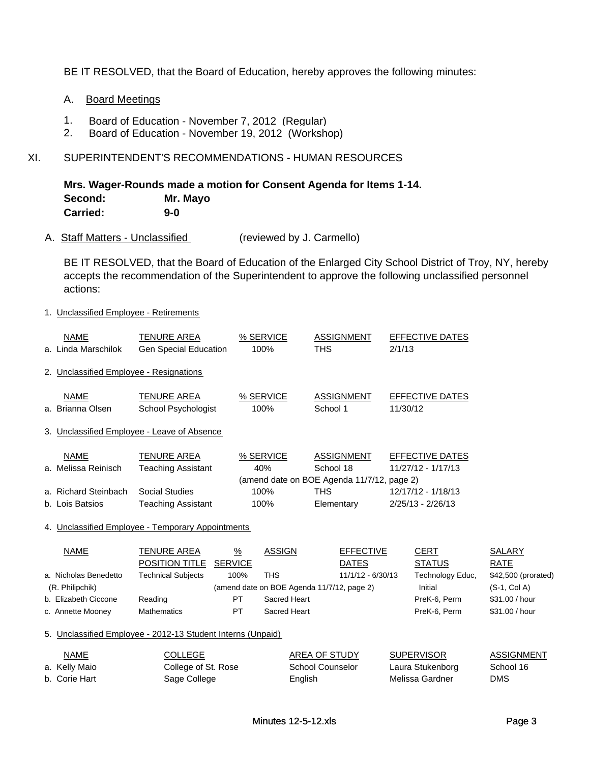BE IT RESOLVED, that the Board of Education, hereby approves the following minutes:

## A. Board Meetings

- 1. Board of Education November 7, 2012 (Regular)
- 2. Board of Education November 19, 2012 (Workshop)

# XI. SUPERINTENDENT'S RECOMMENDATIONS - HUMAN RESOURCES

**Mrs. Wager-Rounds made a motion for Consent Agenda for Items 1-14. Second: Mr. Mayo Carried: 9-0**

A. Staff Matters - Unclassified (reviewed by J. Carmello)

BE IT RESOLVED, that the Board of Education of the Enlarged City School District of Troy, NY, hereby accepts the recommendation of the Superintendent to approve the following unclassified personnel actions:

#### 1. Unclassified Employee - Retirements

| <b>NAME</b>                             | TENURE AREA                                 | % SERVICE | <b>ASSIGNMENT</b>                          | EFFECTIVE DATES    |
|-----------------------------------------|---------------------------------------------|-----------|--------------------------------------------|--------------------|
| a. Linda Marschilok                     | <b>Gen Special Education</b>                | 100%      | <b>THS</b>                                 | 2/1/13             |
|                                         |                                             |           |                                            |                    |
| 2. Unclassified Employee - Resignations |                                             |           |                                            |                    |
|                                         |                                             |           |                                            |                    |
| <b>NAME</b>                             | <b>TENURE AREA</b>                          | % SERVICE | <b>ASSIGNMENT</b>                          | EFFECTIVE DATES    |
|                                         |                                             |           |                                            |                    |
| a. Brianna Olsen                        | <b>School Psychologist</b>                  | 100%      | School 1                                   | 11/30/12           |
|                                         |                                             |           |                                            |                    |
|                                         | 3. Unclassified Employee - Leave of Absence |           |                                            |                    |
|                                         |                                             |           |                                            |                    |
| <b>NAME</b>                             | <b>TENURE AREA</b>                          | % SERVICE | <b>ASSIGNMENT</b>                          | EFFECTIVE DATES    |
|                                         |                                             |           |                                            |                    |
| a. Melissa Reinisch                     | Teaching Assistant                          | 40%       | School 18                                  | 11/27/12 - 1/17/13 |
|                                         |                                             |           | (amend date on BOE Agenda 11/7/12, page 2) |                    |
| a. Richard Steinbach                    | Social Studies                              | 100%      | <b>THS</b>                                 | 12/17/12 - 1/18/13 |
|                                         |                                             |           |                                            |                    |

#### 4. Unclassified Employee - Temporary Appointments

| <b>NAME</b>           | TENURE AREA               | %              | <b>ASSIGN</b>                              | <b>EFFECTIVE</b>  | <b>CERT</b>      | SALARY              |
|-----------------------|---------------------------|----------------|--------------------------------------------|-------------------|------------------|---------------------|
|                       | <b>POSITION TITLE</b>     | <b>SERVICE</b> |                                            | <b>DATES</b>      | <b>STATUS</b>    | RATE                |
| a. Nicholas Benedetto | <b>Technical Subjects</b> | 100%           | <b>THS</b>                                 | 11/1/12 - 6/30/13 | Technology Educ, | \$42,500 (prorated) |
| (R. Philipchik)       |                           |                | (amend date on BOE Agenda 11/7/12, page 2) |                   | Initial          | $(S-1, Col A)$      |
| b. Elizabeth Ciccone  | Reading                   | PT             | Sacred Heart                               |                   | PreK-6, Perm     | \$31.00 / hour      |
| c. Annette Mooney     | <b>Mathematics</b>        | PT             | Sacred Heart                               |                   | PreK-6, Perm     | \$31.00 / hour      |

5. Unclassified Employee - 2012-13 Student Interns (Unpaid)

| NAME          | COLLEGE             | AREA OF STUDY    | <b>SUPERVISOR</b> | ASSIGNMENT |
|---------------|---------------------|------------------|-------------------|------------|
| a. Kelly Maio | College of St. Rose | School Counselor | Laura Stukenborg  | School 16  |
| b. Corie Hart | Sage College        | English          | Melissa Gardner   | <b>DMS</b> |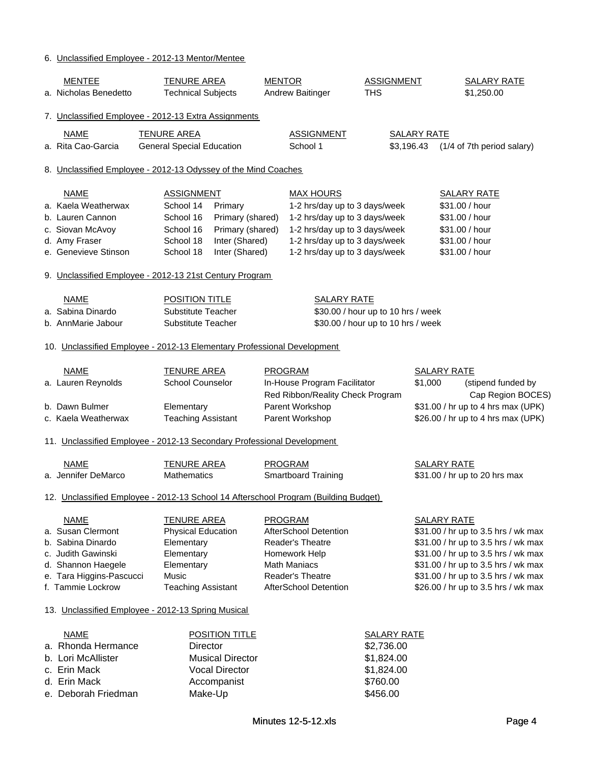## 6. Unclassified Employee - 2012-13 Mentor/Mentee

| <b>MENTEE</b><br>a. Nicholas Benedetto         | <b>TENURE AREA</b><br><b>Technical Subjects</b>                                     | <b>MENTOR</b><br>Andrew Baitinger              | <b>ASSIGNMENT</b><br><b>THS</b>    | <b>SALARY RATE</b><br>\$1,250.00                                           |
|------------------------------------------------|-------------------------------------------------------------------------------------|------------------------------------------------|------------------------------------|----------------------------------------------------------------------------|
|                                                | 7. Unclassified Employee - 2012-13 Extra Assignments                                |                                                |                                    |                                                                            |
|                                                |                                                                                     |                                                |                                    |                                                                            |
| <b>NAME</b><br>a. Rita Cao-Garcia              | <b>TENURE AREA</b><br><b>General Special Education</b>                              | <b>ASSIGNMENT</b><br>School 1                  | \$3,196.43                         | <b>SALARY RATE</b><br>(1/4 of 7th period salary)                           |
|                                                | 8. Unclassified Employee - 2012-13 Odyssey of the Mind Coaches                      |                                                |                                    |                                                                            |
| <b>NAME</b>                                    | <b>ASSIGNMENT</b>                                                                   | <b>MAX HOURS</b>                               |                                    | <b>SALARY RATE</b>                                                         |
| a. Kaela Weatherwax                            | School 14<br>Primary                                                                |                                                | 1-2 hrs/day up to 3 days/week      | \$31.00 / hour                                                             |
| b. Lauren Cannon                               | Primary (shared)<br>School 16                                                       |                                                | 1-2 hrs/day up to 3 days/week      | \$31.00 / hour                                                             |
| c. Siovan McAvoy                               | Primary (shared)<br>School 16                                                       |                                                | 1-2 hrs/day up to 3 days/week      | \$31.00 / hour                                                             |
| d. Amy Fraser                                  | School 18<br>Inter (Shared)                                                         |                                                | 1-2 hrs/day up to 3 days/week      | \$31.00 / hour                                                             |
| e. Genevieve Stinson                           | School 18<br>Inter (Shared)                                                         |                                                | 1-2 hrs/day up to 3 days/week      | \$31.00 / hour                                                             |
|                                                | 9. Unclassified Employee - 2012-13 21st Century Program                             |                                                |                                    |                                                                            |
| <b>NAME</b>                                    | <b>POSITION TITLE</b>                                                               |                                                | <b>SALARY RATE</b>                 |                                                                            |
| a. Sabina Dinardo                              | Substitute Teacher                                                                  |                                                | \$30.00 / hour up to 10 hrs / week |                                                                            |
| b. AnnMarie Jabour                             | Substitute Teacher                                                                  |                                                | \$30.00 / hour up to 10 hrs / week |                                                                            |
|                                                | 10. Unclassified Employee - 2012-13 Elementary Professional Development             |                                                |                                    |                                                                            |
|                                                |                                                                                     |                                                |                                    |                                                                            |
| <b>NAME</b>                                    | <b>TENURE AREA</b>                                                                  | <b>PROGRAM</b>                                 |                                    | <b>SALARY RATE</b>                                                         |
| a. Lauren Reynolds                             | <b>School Counselor</b>                                                             | In-House Program Facilitator                   |                                    | \$1,000<br>(stipend funded by                                              |
|                                                |                                                                                     |                                                | Red Ribbon/Reality Check Program   | Cap Region BOCES)                                                          |
| b. Dawn Bulmer                                 | Elementary                                                                          | Parent Workshop                                |                                    | \$31.00 / hr up to 4 hrs max (UPK)                                         |
| c. Kaela Weatherwax                            | <b>Teaching Assistant</b>                                                           | Parent Workshop                                |                                    | \$26.00 / hr up to 4 hrs max (UPK)                                         |
|                                                | 11. Unclassified Employee - 2012-13 Secondary Professional Development              |                                                |                                    |                                                                            |
| <b>NAME</b>                                    | <b>TENURE AREA</b>                                                                  | <b>PROGRAM</b>                                 |                                    | <b>SALARY RATE</b>                                                         |
| a. Jennifer DeMarco                            | <b>Mathematics</b>                                                                  | <b>Smartboard Training</b>                     |                                    | \$31.00 / hr up to 20 hrs max                                              |
|                                                | 12. Unclassified Employee - 2012-13 School 14 Afterschool Program (Building Budget) |                                                |                                    |                                                                            |
|                                                |                                                                                     |                                                |                                    |                                                                            |
| <b>NAME</b>                                    | <b>TENURE AREA</b>                                                                  | <b>PROGRAM</b>                                 |                                    | <b>SALARY RATE</b>                                                         |
| a. Susan Clermont                              | <b>Physical Education</b>                                                           | <b>AfterSchool Detention</b>                   |                                    | \$31.00 / hr up to 3.5 hrs / wk max                                        |
| b. Sabina Dinardo                              | Elementary                                                                          | Reader's Theatre                               |                                    | \$31.00 / hr up to 3.5 hrs / wk max                                        |
| c. Judith Gawinski                             | Elementary                                                                          | Homework Help                                  |                                    | \$31.00 / hr up to 3.5 hrs / wk max                                        |
| d. Shannon Haegele<br>e. Tara Higgins-Pascucci | Elementary<br>Music                                                                 | <b>Math Maniacs</b><br><b>Reader's Theatre</b> |                                    | \$31.00 / hr up to 3.5 hrs / wk max<br>\$31.00 / hr up to 3.5 hrs / wk max |
| f. Tammie Lockrow                              | <b>Teaching Assistant</b>                                                           | <b>AfterSchool Detention</b>                   |                                    | \$26.00 / hr up to 3.5 hrs / wk max                                        |
|                                                | 13. Unclassified Employee - 2012-13 Spring Musical                                  |                                                |                                    |                                                                            |
|                                                |                                                                                     |                                                |                                    |                                                                            |
| <u>NAME</u>                                    | <b>POSITION TITLE</b>                                                               |                                                | <b>SALARY RATE</b>                 |                                                                            |
| a. Rhonda Hermance                             | Director                                                                            |                                                | \$2,736.00                         |                                                                            |
| b. Lori McAllister                             | <b>Musical Director</b>                                                             |                                                | \$1,824.00                         |                                                                            |
| c. Erin Mack                                   | <b>Vocal Director</b>                                                               |                                                | \$1,824.00                         |                                                                            |
| d. Erin Mack                                   | Accompanist                                                                         |                                                | \$760.00                           |                                                                            |
| e. Deborah Friedman                            | Make-Up                                                                             |                                                | \$456.00                           |                                                                            |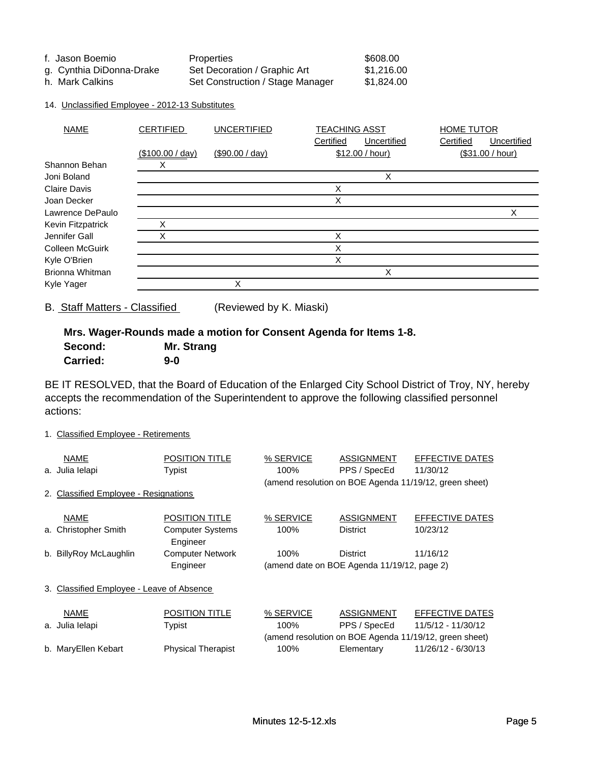| f. Jason Boemio          | Properties                       | \$608.00   |
|--------------------------|----------------------------------|------------|
| g. Cynthia DiDonna-Drake | Set Decoration / Graphic Art     | \$1,216.00 |
| h. Mark Calkins          | Set Construction / Stage Manager | \$1,824.00 |

14. Unclassified Employee - 2012-13 Substitutes

| <b>NAME</b>       | <b>CERTIFIED</b> | <b>UNCERTIFIED</b> | <b>TEACHING ASST</b><br>Certified<br>Uncertified | <b>HOME TUTOR</b><br>Certified<br>Uncertified |
|-------------------|------------------|--------------------|--------------------------------------------------|-----------------------------------------------|
|                   | (\$100.00 / day) | (\$90.00 / day)    | \$12.00 / hour)                                  | (\$31.00 / hour)                              |
| Shannon Behan     | х                |                    |                                                  |                                               |
| Joni Boland       |                  |                    | Χ                                                |                                               |
| Claire Davis      |                  |                    | Χ                                                |                                               |
| Joan Decker       |                  |                    | X                                                |                                               |
| Lawrence DePaulo  |                  |                    |                                                  | Χ                                             |
| Kevin Fitzpatrick |                  |                    |                                                  |                                               |
| Jennifer Gall     |                  |                    | Χ                                                |                                               |
| Colleen McGuirk   |                  |                    | Χ                                                |                                               |
| Kyle O'Brien      |                  |                    | X                                                |                                               |
| Brionna Whitman   |                  |                    | Χ                                                |                                               |
| Kyle Yager        |                  | Х                  |                                                  |                                               |

B. Staff Matters - Classified (Reviewed by K. Miaski)

# **Mrs. Wager-Rounds made a motion for Consent Agenda for Items 1-8. Second: Mr. Strang C id 9 0 Carried: 9-0**

BE IT RESOLVED, that the Board of Education of the Enlarged City School District of Troy, NY, hereby accepts the recommendation of the Superintendent to approve the following classified personnel actions:

## 1. Classified Employee - Retirements

| <b>NAME</b>                               | POSITION TITLE            | % SERVICE | <b>ASSIGNMENT</b>                           | EFFECTIVE DATES                                        |
|-------------------------------------------|---------------------------|-----------|---------------------------------------------|--------------------------------------------------------|
| a. Julia lelapi                           | Typist                    | 100%      | PPS / SpecEd                                | 11/30/12                                               |
|                                           |                           |           |                                             | (amend resolution on BOE Agenda 11/19/12, green sheet) |
| 2. Classified Employee - Resignations     |                           |           |                                             |                                                        |
|                                           |                           |           |                                             |                                                        |
| <b>NAME</b>                               | <b>POSITION TITLE</b>     | % SERVICE | <b>ASSIGNMENT</b>                           | <b>EFFECTIVE DATES</b>                                 |
| a. Christopher Smith                      | <b>Computer Systems</b>   | 100%      | <b>District</b>                             | 10/23/12                                               |
|                                           | Engineer                  |           |                                             |                                                        |
| b. BillyRoy McLaughlin                    | <b>Computer Network</b>   | 100%      | <b>District</b>                             | 11/16/12                                               |
|                                           | Engineer                  |           | (amend date on BOE Agenda 11/19/12, page 2) |                                                        |
|                                           |                           |           |                                             |                                                        |
| 3. Classified Employee - Leave of Absence |                           |           |                                             |                                                        |
|                                           |                           |           |                                             |                                                        |
| <b>NAME</b>                               | <b>POSITION TITLE</b>     | % SERVICE | <b>ASSIGNMENT</b>                           | EFFECTIVE DATES                                        |
| a. Julia lelapi                           | Typist                    | 100%      | PPS / SpecEd                                | 11/5/12 - 11/30/12                                     |
|                                           |                           |           |                                             | (amend resolution on BOE Agenda 11/19/12, green sheet) |
| b. MaryEllen Kebart                       | <b>Physical Therapist</b> | 100%      | Elementary                                  | 11/26/12 - 6/30/13                                     |
|                                           |                           |           |                                             |                                                        |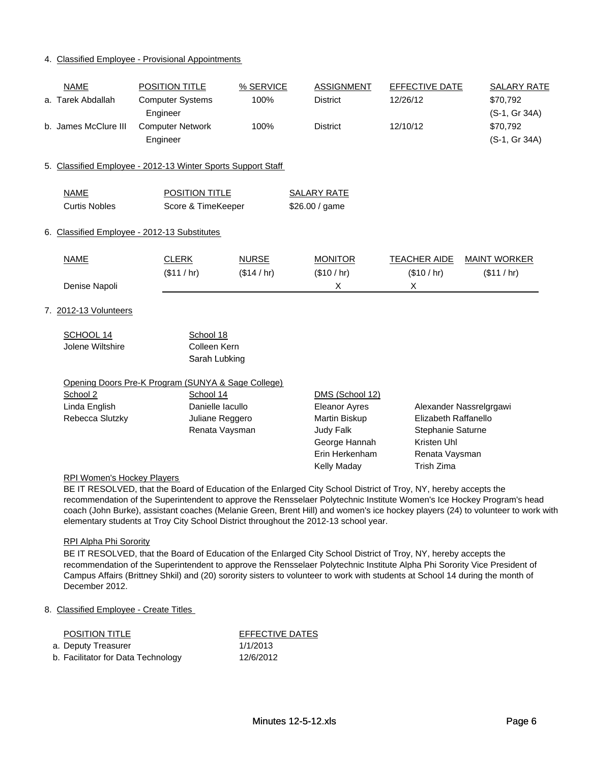#### 4. Classified Employee - Provisional Appointments

| <b>NAME</b>                       | <b>POSITION TITLE</b>                                        | % SERVICE    | <b>ASSIGNMENT</b>    | <b>EFFECTIVE DATE</b> | <b>SALARY RATE</b>      |
|-----------------------------------|--------------------------------------------------------------|--------------|----------------------|-----------------------|-------------------------|
| a. Tarek Abdallah                 | <b>Computer Systems</b>                                      | 100%         | <b>District</b>      | 12/26/12              | \$70,792                |
|                                   | Engineer                                                     |              |                      |                       | (S-1, Gr 34A)           |
| b. James McClure III              | <b>Computer Network</b>                                      | 100%         | <b>District</b>      | 12/10/12              | \$70,792                |
|                                   | Engineer                                                     |              |                      |                       | (S-1, Gr 34A)           |
|                                   | 5. Classified Employee - 2012-13 Winter Sports Support Staff |              |                      |                       |                         |
|                                   |                                                              |              |                      |                       |                         |
| <b>NAME</b>                       | POSITION TITLE                                               |              | <b>SALARY RATE</b>   |                       |                         |
| <b>Curtis Nobles</b>              | Score & TimeKeeper                                           |              | \$26.00 / game       |                       |                         |
|                                   |                                                              |              |                      |                       |                         |
|                                   | 6. Classified Employee - 2012-13 Substitutes                 |              |                      |                       |                         |
|                                   |                                                              |              |                      |                       |                         |
| <b>NAME</b>                       | <b>CLERK</b>                                                 | <b>NURSE</b> | <b>MONITOR</b>       | <b>TEACHER AIDE</b>   | <b>MAINT WORKER</b>     |
|                                   | (\$11 / hr)                                                  | (\$14 / hr)  | (\$10 / hr)          | (\$10 / hr)           | (\$11 / hr)             |
| Denise Napoli                     |                                                              |              | X                    | X                     |                         |
| 7. 2012-13 Volunteers             |                                                              |              |                      |                       |                         |
|                                   |                                                              |              |                      |                       |                         |
| SCHOOL 14                         | School 18                                                    |              |                      |                       |                         |
| Jolene Wiltshire                  | Colleen Kern                                                 |              |                      |                       |                         |
|                                   | Sarah Lubking                                                |              |                      |                       |                         |
|                                   | Opening Doors Pre-K Program (SUNYA & Sage College)           |              |                      |                       |                         |
| School 2                          | School 14                                                    |              | DMS (School 12)      |                       |                         |
| Linda English                     | Danielle lacullo                                             |              | <b>Eleanor Ayres</b> |                       | Alexander Nassrelgrgawi |
| Rebecca Slutzky                   | Juliane Reggero                                              |              | Martin Biskup        | Elizabeth Raffanello  |                         |
|                                   | Renata Vaysman                                               |              | <b>Judy Falk</b>     | Stephanie Saturne     |                         |
|                                   |                                                              |              | George Hannah        | Kristen Uhl           |                         |
|                                   |                                                              |              | Erin Herkenham       | Renata Vaysman        |                         |
|                                   |                                                              |              | Kelly Maday          | Trish Zima            |                         |
| <b>RPI Women's Hockey Players</b> |                                                              |              |                      |                       |                         |

BE IT RESOLVED, that the Board of Education of the Enlarged City School District of Troy, NY, hereby accepts the recommendation of the Superintendent to approve the Rensselaer Polytechnic Institute Women's Ice Hockey Program's head coach (John Burke), assistant coaches (Melanie Green, Brent Hill) and women's ice hockey players (24) to volunteer to work with elementary students at Troy City School District throughout the 2012-13 school year.

## RPI Alpha Phi Sorority

BE IT RESOLVED, that the Board of Education of the Enlarged City School District of Troy, NY, hereby accepts the recommendation of the Superintendent to approve the Rensselaer Polytechnic Institute Alpha Phi Sorority Vice President of Campus Affairs (Brittney Shkil) and (20) sorority sisters to volunteer to work with students at School 14 during the month of December 2012.

# 8. Classified Employee - Create Titles

| <b>POSITION TITLE</b>              | EFFECTIVE DATES |
|------------------------------------|-----------------|
| a. Deputy Treasurer                | 1/1/2013        |
| b. Facilitator for Data Technology | 12/6/2012       |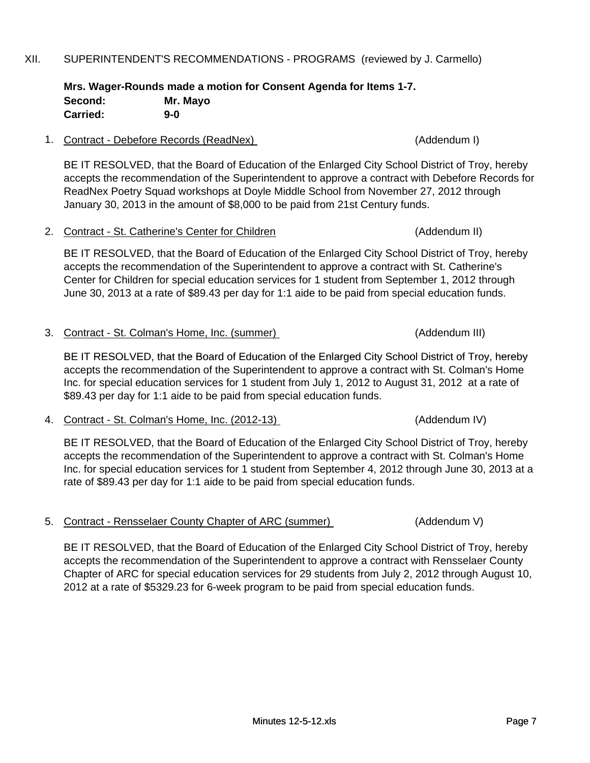# XII. SUPERINTENDENT'S RECOMMENDATIONS - PROGRAMS (reviewed by J. Carmello)

**Mrs. Wager-Rounds made a motion for Consent Agenda for Items 1-7. Second: Mr. Mayo Carried: 9-0**

# 1. Contract - Debefore Records (ReadNex) (Addendum I)

BE IT RESOLVED, that the Board of Education of the Enlarged City School District of Troy, hereby accepts the recommendation of the Superintendent to approve a contract with Debefore Records for ReadNex Poetry Squad workshops at Doyle Middle School from November 27, 2012 through January 30, 2013 in the amount of \$8,000 to be paid from 21st Century funds.

2. Contract - St. Catherine's Center for Children (Addendum II)

BE IT RESOLVED, that the Board of Education of the Enlarged City School District of Troy, hereby accepts the recommendation of the Superintendent to approve a contract with St. Catherine's Center for Children for special education services for 1 student from September 1, 2012 through June 30, 2013 at a rate of \$89.43 per day for 1:1 aide to be paid from special education funds.

3. Contract - St. Colman's Home, Inc. (summer) (Addendum III)

BE IT RESOLVED, that the Board of Education of the Enlarged City School District of Troy, hereby accepts the recommendation of the Superintendent to approve a contract with St. Colman's Home Inc. for special education services for 1 student from July 1, 2012 to August 31, 2012 at a rate of \$89.43 per day for 1:1 aide to be paid from special education funds.

4. Contract - St. Colman's Home, Inc. (2012-13) (Addendum IV)

BE IT RESOLVED, that the Board of Education of the Enlarged City School District of Troy, hereby accepts the recommendation of the Superintendent to approve a contract with St. Colman's Home Inc. for special education services for 1 student from September 4, 2012 through June 30, 2013 at a rate of \$89.43 per day for 1:1 aide to be paid from special education funds.

5. Contract - Rensselaer County Chapter of ARC (summer) (Addendum V)

BE IT RESOLVED, that the Board of Education of the Enlarged City School District of Troy, hereby accepts the recommendation of the Superintendent to approve a contract with Rensselaer County Chapter of ARC for special education services for 29 students from July 2, 2012 through August 10, 2012 at a rate of \$5329.23 for 6-week program to be paid from special education funds.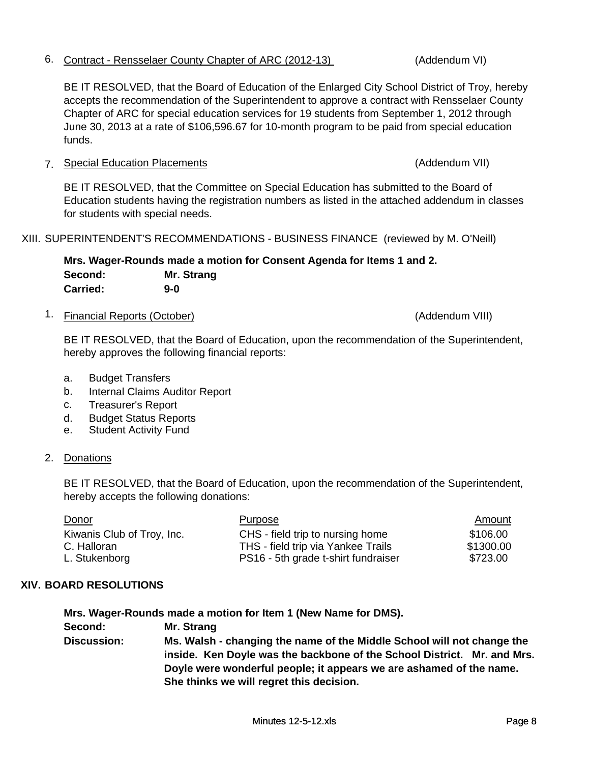## 6. Contract - Rensselaer County Chapter of ARC (2012-13) (Addendum VI)

BE IT RESOLVED, that the Board of Education of the Enlarged City School District of Troy, hereby accepts the recommendation of the Superintendent to approve a contract with Rensselaer County Chapter of ARC for special education services for 19 students from September 1, 2012 through June 30, 2013 at a rate of \$106,596.67 for 10-month program to be paid from special education funds.

## 7. Special Education Placements (Addendum VII)

BE IT RESOLVED, that the Committee on Special Education has submitted to the Board of Education students having the registration numbers as listed in the attached addendum in classes for students with special needs.

# XIII. SUPERINTENDENT'S RECOMMENDATIONS - BUSINESS FINANCE (reviewed by M. O'Neill)

# **Mrs. Wager-Rounds made a motion for Consent Agenda for Items 1 and 2. Carried: 9-0 Second: Mr. Strang**

# 1. Financial Reports (October) (Addendum VIII)

BE IT RESOLVED, that the Board of Education, upon the recommendation of the Superintendent, hereby approves the following financial reports: hereby approves the following financial

- a. Budget Transfers
- b. Internal Claims Auditor Report
- c. Treasurer's Report
- d. Budget Status Reports
- e. Student Activity Fund

# 2. Donations

BE IT RESOLVED, that the Board of Education, upon the recommendation of the Superintendent, hereby accepts the following donations:

| Donor                      | <b>Purpose</b>                      | Amount    |
|----------------------------|-------------------------------------|-----------|
| Kiwanis Club of Troy, Inc. | CHS - field trip to nursing home    | \$106.00  |
| C. Halloran                | THS - field trip via Yankee Trails  | \$1300.00 |
| L. Stukenborg              | PS16 - 5th grade t-shirt fundraiser | \$723.00  |

# **XIV. BOARD RESOLUTIONS**

**Mrs. Wager-Rounds made a motion for Item 1 (New Name for DMS).**

| <b>Second:</b>     | Mr. Strang                                                              |
|--------------------|-------------------------------------------------------------------------|
| <b>Discussion:</b> | Ms. Walsh - changing the name of the Middle School will not change the  |
|                    | inside. Ken Doyle was the backbone of the School District. Mr. and Mrs. |
|                    | Doyle were wonderful people; it appears we are ashamed of the name.     |
|                    | She thinks we will regret this decision.                                |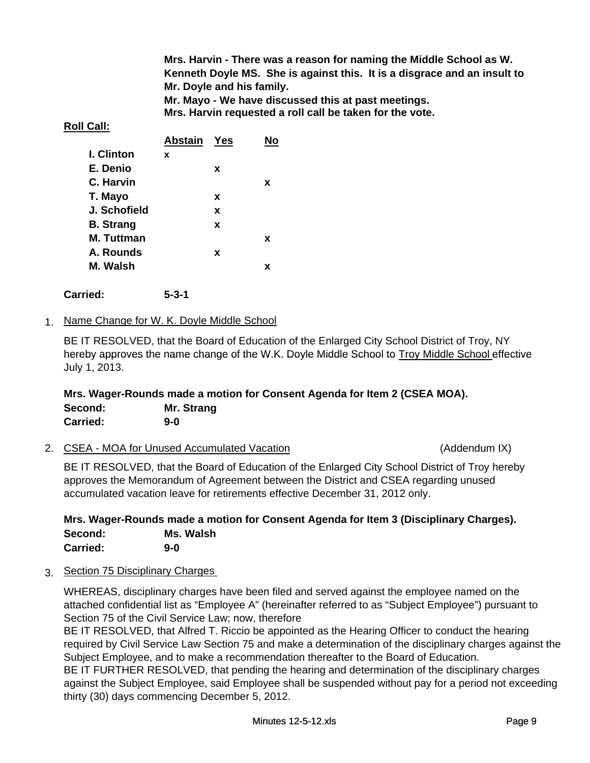**Mrs. Harvin - There was a reason for naming the Middle School as W. Kenneth Doyle MS. She is against this. It is a disgrace and an insult to Mr. Doyle and his family.** 

**Mrs. Harvin requested a roll call be taken for the vote. Mr. Mayo - We have discussed this at past meetings.**

## **Roll Call:**

|                   | <b>Abstain</b> | Yes |   |
|-------------------|----------------|-----|---|
| I. Clinton        | X              |     |   |
| E. Denio          |                | x   |   |
| C. Harvin         |                |     | x |
| T. Mayo           |                | x   |   |
| J. Schofield      |                | x   |   |
| <b>B.</b> Strang  |                | x   |   |
| <b>M.</b> Tuttman |                |     | x |
| A. Rounds         |                | x   |   |
| M. Walsh          |                |     | x |
|                   |                |     |   |
|                   |                |     |   |

**Carried: 5-3-1**

## 1. Name Change for W. K. Doyle Middle School

BE IT RESOLVED, that the Board of Education of the Enlarged City School District of Troy, NY hereby approves the name change of the W.K. Doyle Middle School to Troy Middle School effective July 1, 2013.

# **Mrs. Wager-Rounds made a motion for Consent Agenda for Item 2 (CSEA MOA). Second: Mr. Strang Carried: 9-0**

2. CSEA - MOA for Unused Accumulated Vacation (Addendum IX)

BE IT RESOLVED, that the Board of Education of the Enlarged City School District of Troy hereby approves the Memorandum of Agreement between the District and CSEA regarding unused accumulated vacation leave for retirements effective December 31, 2012 only.

**Mrs. Wager-Rounds made a motion for Consent Agenda for Item 3 (Disciplinary Charges). Second: Ms. Walsh Carried: 9-0**

3. Section 75 Disciplinary Charges

WHEREAS, disciplinary charges have been filed and served against the employee named on the attached confidential list as "Employee A" (hereinafter referred to as "Subject Employee") pursuant to Section 75 of the Civil Service Law; now, therefore

BE IT RESOLVED, that Alfred T. Riccio be appointed as the Hearing Officer to conduct the hearing required by Civil Service Law Section 75 and make a determination of the disciplinary charges against the Subject Employee, and to make a recommendation thereafter to the Board of Education.

BE IT FURTHER RESOLVED, that pending the hearing and determination of the disciplinary charges against the Subject Employee, said Employee shall be suspended without pay for a period not exceeding thirty (30) days commencing December 5, 2012.